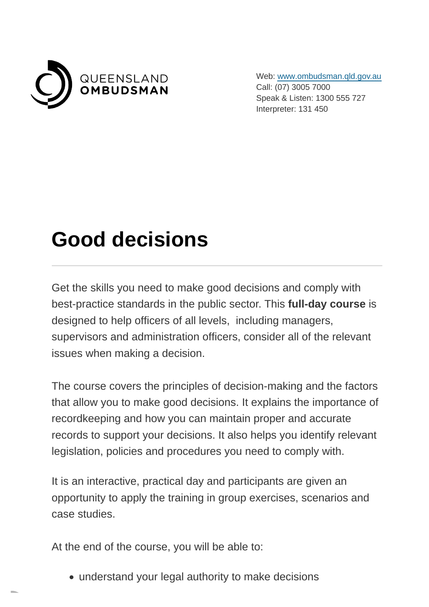

Web: [www.ombudsman.qld.gov.au](https://www.ombudsman.qld.gov.au/) Call: (07) 3005 7000 Speak & Listen: 1300 555 727 Interpreter: 131 450

## **Good decisions**

Get the skills you need to make good decisions and comply with best-practice standards in the public sector. This **full-day course** is designed to help officers of all levels, including managers, supervisors and administration officers, consider all of the relevant issues when making a decision.

The course covers the principles of decision-making and the factors that allow you to make good decisions. It explains the importance of recordkeeping and how you can maintain proper and accurate records to support your decisions. It also helps you identify relevant legislation, policies and procedures you need to comply with.

It is an interactive, practical day and participants are given an opportunity to apply the training in group exercises, scenarios and case studies.

At the end of the course, you will be able to:

understand your legal authority to make decisions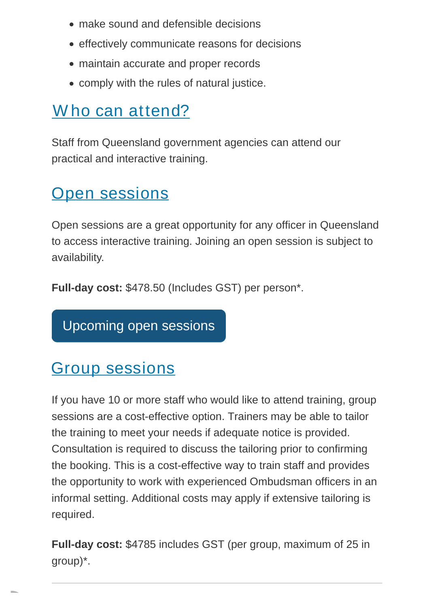- make sound and defensible decisions
- **effectively communicate reasons for decisions**
- maintain accurate and proper records
- comply with the rules of natural justice.

## Who can attend?

Staff from Queensland government agencies can attend our practical and interactive training.

## **[Open sessions](https://www.ombudsman.qld.gov.au/training-and-education/training-courses/good-decisions-training?PrintToPDF=True&dummy=202271139#open_sessions)**

Open sessions are a great opportunity for any officer in Queensland to access interactive training. Joining an open session is subject to availability.

**Full-day cost:** \$478.50 (Includes GST) per person\*.

[Upcoming open sessions](https://www.ombudsman.qld.gov.au/training-and-education/book-training/good-decisions/good-decisions)

## [Group sessions](https://www.ombudsman.qld.gov.au/training-and-education/training-courses/good-decisions-training?PrintToPDF=True&dummy=202271139#group_sessions)

If you have 10 or more staff who would like to attend training, group sessions are a cost-effective option. Trainers may be able to tailor the training to meet your needs if adequate notice is provided. Consultation is required to discuss the tailoring prior to confirming the booking. This is a cost-effective way to train staff and provides the opportunity to work with experienced Ombudsman officers in an informal setting. Additional costs may apply if extensive tailoring is required.

**Full-day cost:** \$4785 includes GST (per group, maximum of 25 in group)\*.